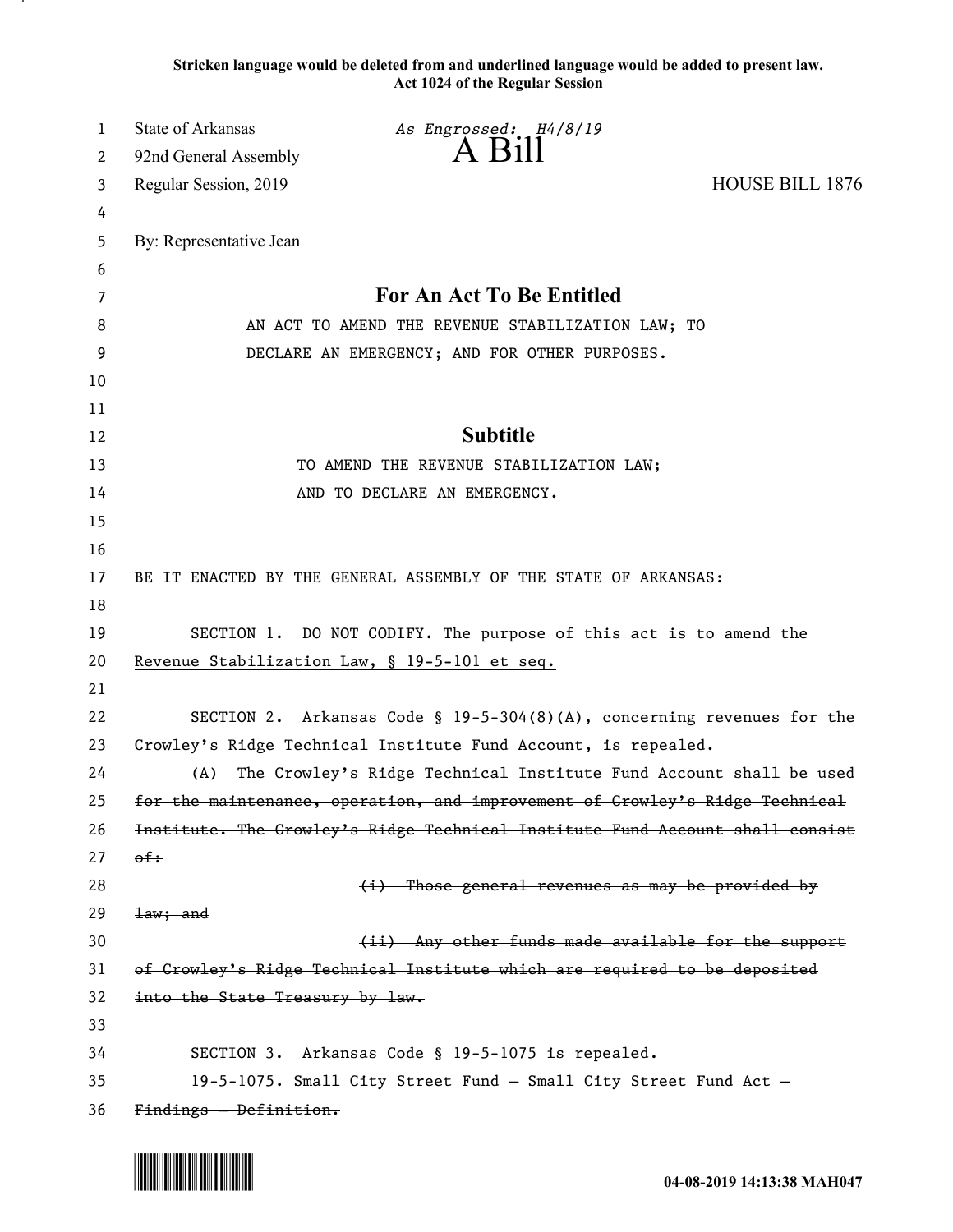**Stricken language would be deleted from and underlined language would be added to present law. Act 1024 of the Regular Session**

| 1  | <b>State of Arkansas</b>        | As Engrossed: H4/8/19                                                         |                        |
|----|---------------------------------|-------------------------------------------------------------------------------|------------------------|
| 2  | 92nd General Assembly           | A Bill                                                                        |                        |
| 3  | Regular Session, 2019           |                                                                               | <b>HOUSE BILL 1876</b> |
| 4  |                                 |                                                                               |                        |
| 5  | By: Representative Jean         |                                                                               |                        |
| 6  |                                 |                                                                               |                        |
| 7  |                                 | For An Act To Be Entitled                                                     |                        |
| 8  |                                 | AN ACT TO AMEND THE REVENUE STABILIZATION LAW; TO                             |                        |
| 9  |                                 | DECLARE AN EMERGENCY; AND FOR OTHER PURPOSES.                                 |                        |
| 10 |                                 |                                                                               |                        |
| 11 |                                 |                                                                               |                        |
| 12 |                                 | <b>Subtitle</b>                                                               |                        |
| 13 |                                 | TO AMEND THE REVENUE STABILIZATION LAW;                                       |                        |
| 14 |                                 | AND TO DECLARE AN EMERGENCY.                                                  |                        |
| 15 |                                 |                                                                               |                        |
| 16 |                                 |                                                                               |                        |
| 17 |                                 | BE IT ENACTED BY THE GENERAL ASSEMBLY OF THE STATE OF ARKANSAS:               |                        |
| 18 |                                 |                                                                               |                        |
| 19 |                                 | SECTION 1. DO NOT CODIFY. The purpose of this act is to amend the             |                        |
| 20 |                                 | Revenue Stabilization Law, § 19-5-101 et seq.                                 |                        |
| 21 |                                 |                                                                               |                        |
| 22 |                                 | SECTION 2. Arkansas Code § $19-5-304(8)(A)$ , concerning revenues for the     |                        |
| 23 |                                 | Crowley's Ridge Technical Institute Fund Account, is repealed.                |                        |
| 24 |                                 | (A) The Crowley's Ridge Technical Institute Fund Account shall be used        |                        |
| 25 |                                 | for the maintenance, operation, and improvement of Crowley's Ridge Technical  |                        |
| 26 |                                 | Institute. The Crowley's Ridge Technical Institute Fund Account shall consist |                        |
| 27 | $\theta$ f:                     |                                                                               |                        |
| 28 |                                 | (i) Those general revenues as may be provided by                              |                        |
| 29 | <del>law; and</del>             |                                                                               |                        |
| 30 |                                 | (ii) Any other funds made available for the support                           |                        |
| 31 |                                 | of Crowley's Ridge Technical Institute which are required to be deposited     |                        |
| 32 | into the State Treasury by law. |                                                                               |                        |
| 33 |                                 |                                                                               |                        |
| 34 |                                 | SECTION 3. Arkansas Code § 19-5-1075 is repealed.                             |                        |
| 35 |                                 | 19-5-1075. Small City Street Fund - Small City Street Fund Act -              |                        |
| 36 | $Finding - Definition.$         |                                                                               |                        |

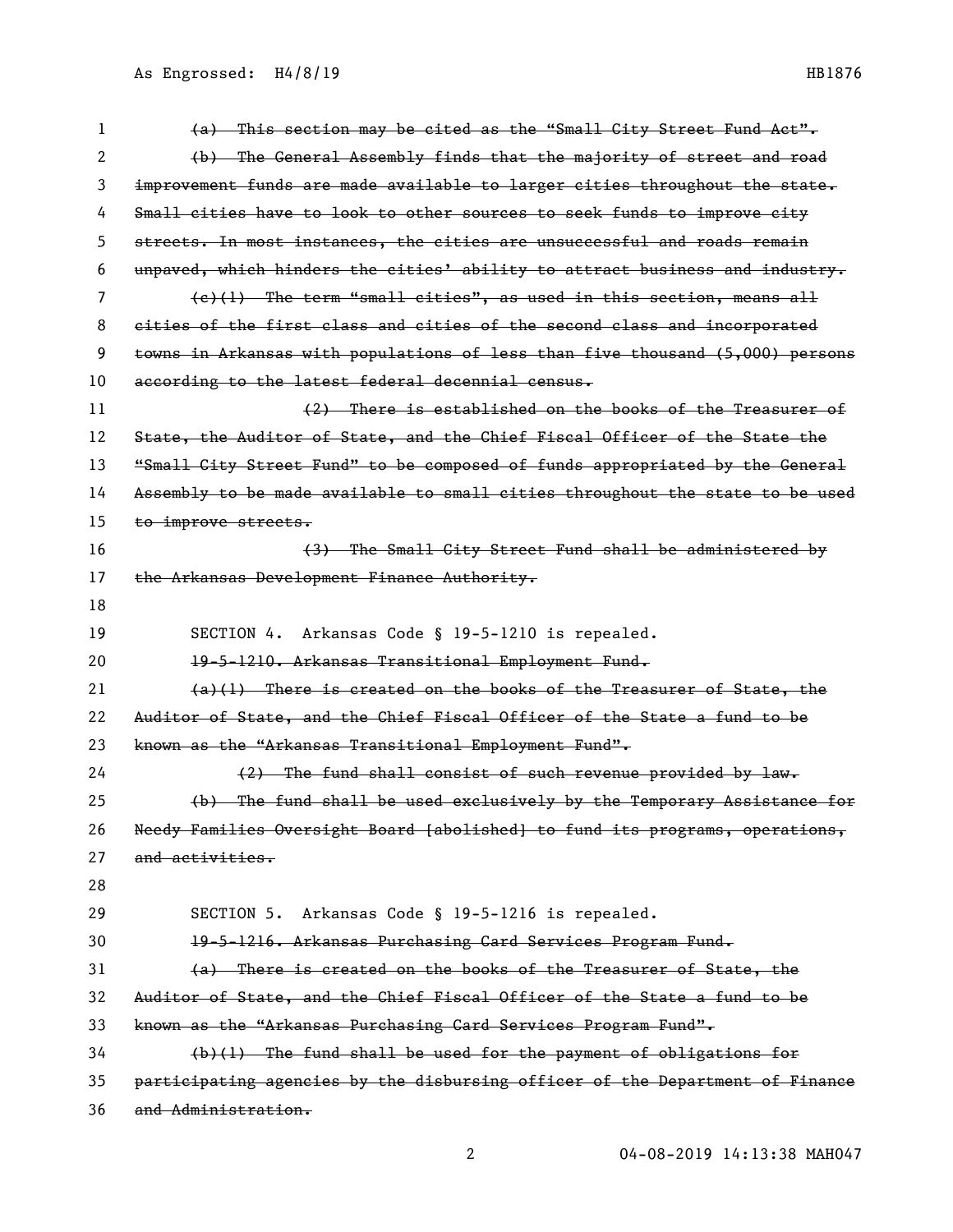| 1  | (a) This section may be cited as the "Small City Street Fund Act".            |
|----|-------------------------------------------------------------------------------|
| 2  | (b) The General Assembly finds that the majority of street and road           |
| 3  | improvement funds are made available to larger cities throughout the state.   |
| 4  | Small cities have to look to other sources to seek funds to improve city      |
| 5  | streets. In most instances, the cities are unsuccessful and roads remain      |
| 6  | unpaved, which hinders the cities' ability to attract business and industry.  |
| 7  | $(e)(1)$ The term "small cities", as used in this section, means all          |
| 8  | eities of the first class and cities of the second class and incorporated     |
| 9  | towns in Arkansas with populations of less than five thousand (5,000) persons |
| 10 | according to the latest federal decennial census.                             |
| 11 | (2) There is established on the books of the Treasurer of                     |
| 12 | State, the Auditor of State, and the Chief Fiscal Officer of the State the    |
| 13 | "Small City Street Fund" to be composed of funds appropriated by the General  |
| 14 | Assembly to be made available to small cities throughout the state to be used |
| 15 | to improve streets.                                                           |
| 16 | (3) The Small City Street Fund shall be administered by                       |
| 17 | the Arkansas Development Finance Authority.                                   |
| 18 |                                                                               |
|    |                                                                               |
| 19 | Arkansas Code § 19-5-1210 is repealed.<br>SECTION 4.                          |
| 20 | 19-5-1210. Arkansas Transitional Employment Fund.                             |
| 21 | $(a)(1)$ There is created on the books of the Treasurer of State, the         |
| 22 | Auditor of State, and the Chief Fiscal Officer of the State a fund to be      |
| 23 | known as the "Arkansas Transitional Employment Fund".                         |
| 24 | (2) The fund shall consist of such revenue provided by law.                   |
| 25 | (b) The fund shall be used exclusively by the Temporary Assistance for        |
| 26 | Needy Families Oversight Board [abolished] to fund its programs, operations,  |
| 27 | and activities.                                                               |
| 28 |                                                                               |
| 29 | SECTION 5. Arkansas Code § 19-5-1216 is repealed.                             |
| 30 | 19-5-1216. Arkansas Purchasing Card Services Program Fund.                    |
| 31 | (a) There is created on the books of the Treasurer of State, the              |
| 32 | Auditor of State, and the Chief Fiscal Officer of the State a fund to be      |
| 33 | known as the "Arkansas Purchasing Card Services Program Fund".                |
| 34 | $(b)(1)$ The fund shall be used for the payment of obligations for            |
| 35 | participating agencies by the disbursing officer of the Department of Finance |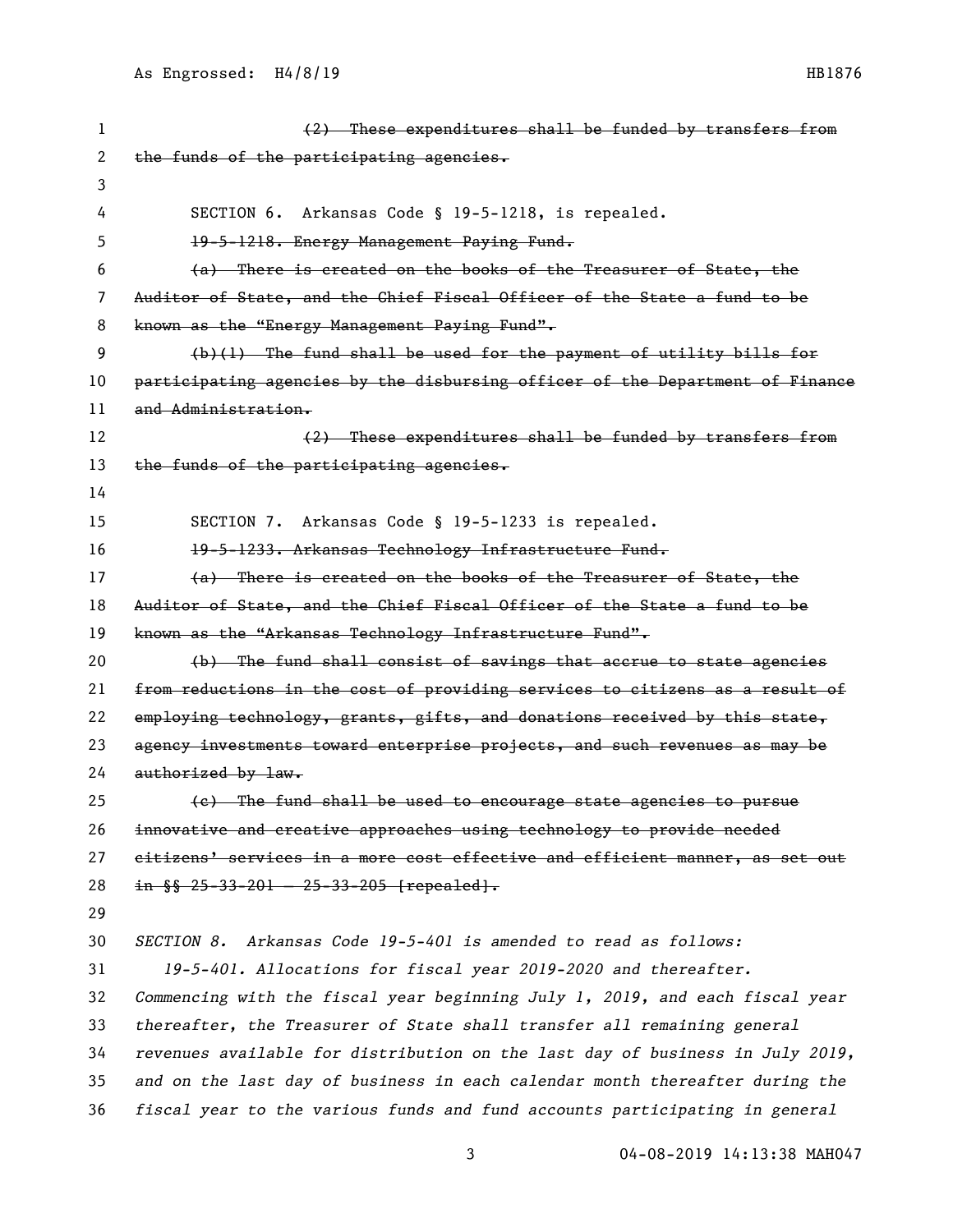| 1  | (2) These expenditures shall be funded by transfers from                      |
|----|-------------------------------------------------------------------------------|
| 2  | the funds of the participating agencies.                                      |
| 3  |                                                                               |
| 4  | SECTION 6. Arkansas Code § 19-5-1218, is repealed.                            |
| 5  | 19-5-1218. Energy Management Paying Fund.                                     |
| 6  | (a) There is created on the books of the Treasurer of State, the              |
| 7  | Auditor of State, and the Chief Fiscal Officer of the State a fund to be      |
| 8  | known as the "Energy Management Paying Fund".                                 |
| 9  | (b)(1) The fund shall be used for the payment of utility bills for            |
| 10 | participating agencies by the disbursing officer of the Department of Finance |
| 11 | <del>and Administration.</del>                                                |
| 12 | (2) These expenditures shall be funded by transfers from                      |
| 13 | the funds of the participating agencies.                                      |
| 14 |                                                                               |
| 15 | SECTION 7. Arkansas Code § 19-5-1233 is repealed.                             |
| 16 | 19-5-1233. Arkansas Technology Infrastructure Fund.                           |
| 17 | (a) There is created on the books of the Treasurer of State, the              |
| 18 | Auditor of State, and the Chief Fiscal Officer of the State a fund to be      |
| 19 | known as the "Arkansas Technology Infrastructure Fund".                       |
| 20 | (b) The fund shall consist of savings that accrue to state agencies           |
| 21 | from reductions in the cost of providing services to citizens as a result of  |
| 22 | employing technology, grants, gifts, and donations received by this state,    |
| 23 | agency investments toward enterprise projects, and such revenues as may be    |
| 24 | authorized by law.                                                            |
| 25 | (e) The fund shall be used to encourage state agencies to pursue              |
| 26 | innovative and creative approaches using technology to provide needed         |
| 27 | citizens' services in a more cost effective and efficient manner, as set out  |
| 28 | in $\S$ $25 - 33 - 201 - 25 - 33 - 205$ [repealed].                           |
| 29 |                                                                               |
| 30 | SECTION 8. Arkansas Code 19-5-401 is amended to read as follows:              |
| 31 | 19-5-401. Allocations for fiscal year 2019-2020 and thereafter.               |
| 32 | Commencing with the fiscal year beginning July 1, 2019, and each fiscal year  |
| 33 | thereafter, the Treasurer of State shall transfer all remaining general       |
| 34 | revenues available for distribution on the last day of business in July 2019, |
| 35 | and on the last day of business in each calendar month thereafter during the  |
| 36 | fiscal year to the various funds and fund accounts participating in general   |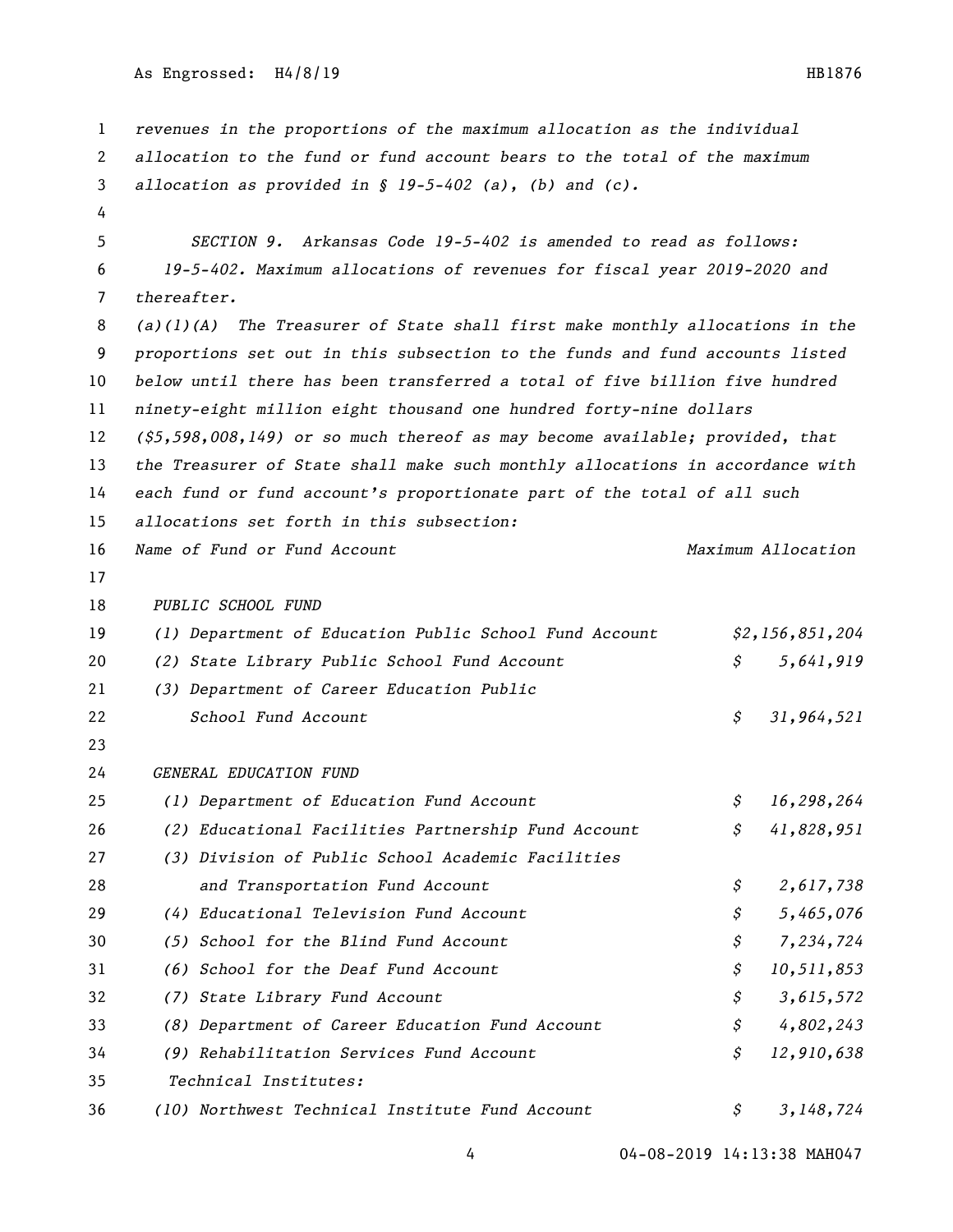As Engrossed: H4/8/19 HB1876

```
1 revenues in the proportions of the maximum allocation as the individual 
2 allocation to the fund or fund account bears to the total of the maximum 
3 allocation as provided in § 19-5-402 (a), (b) and (c). 
4
5 SECTION 9. Arkansas Code 19-5-402 is amended to read as follows:
6 19-5-402. Maximum allocations of revenues for fiscal year 2019-2020 and 
7 thereafter.
8 (a)(1)(A) The Treasurer of State shall first make monthly allocations in the 
9 proportions set out in this subsection to the funds and fund accounts listed 
10 below until there has been transferred a total of five billion five hundred 
11 ninety-eight million eight thousand one hundred forty-nine dollars 
12 ($5,598,008,149) or so much thereof as may become available; provided, that 
13 the Treasurer of State shall make such monthly allocations in accordance with 
14 each fund or fund account's proportionate part of the total of all such 
15 allocations set forth in this subsection:
16 Name of Fund or Fund Account Maximum Allocation 
17
18 PUBLIC SCHOOL FUND 
19 (1) Department of Education Public School Fund Account $2,156,851,204 
20 (2) State Library Public School Fund Account $ 5,641,919 
21 (3) Department of Career Education Public 
22 School Fund Account $ 31,964,521 
23 
24 GENERAL EDUCATION FUND 
25 (1) Department of Education Fund Account $ 16,298,264 
26 (2) Educational Facilities Partnership Fund Account $ 41,828,951 
27 (3) Division of Public School Academic Facilities 
28 and Transportation Fund Account $ 2,617,738 
29 (4) Educational Television Fund Account $ 5,465,076 
30 (5) School for the Blind Fund Account $ 7,234,724 
31 (6) School for the Deaf Fund Account $ 10,511,853 
32 (7) State Library Fund Account $ 3,615,572 
33 (8) Department of Career Education Fund Account $ 4,802,243 
34 (9) Rehabilitation Services Fund Account $ 12,910,638 
35 Technical Institutes: 
36 (10) Northwest Technical Institute Fund Account $ 3,148,724
```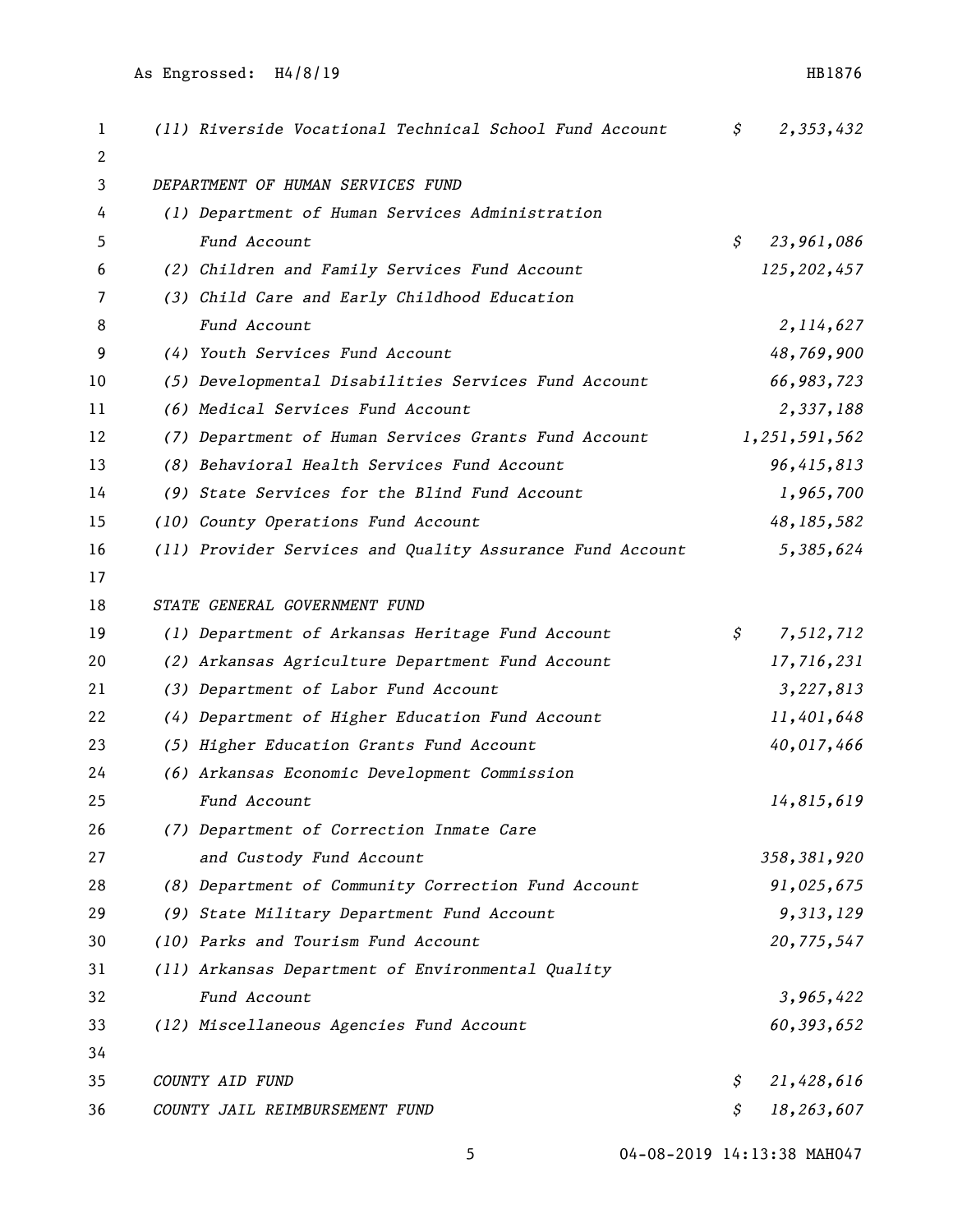| 1  | (11) Riverside Vocational Technical School Fund Account   | \$              | 2,353,432     |
|----|-----------------------------------------------------------|-----------------|---------------|
| 2  |                                                           |                 |               |
| 3  | DEPARTMENT OF HUMAN SERVICES FUND                         |                 |               |
| 4  | (1) Department of Human Services Administration           |                 |               |
| 5  | Fund Account                                              | \$              | 23,961,086    |
| 6  | (2) Children and Family Services Fund Account             |                 | 125,202,457   |
| 7  | (3) Child Care and Early Childhood Education              |                 |               |
| 8  | Fund Account                                              |                 | 2, 114, 627   |
| 9  | (4) Youth Services Fund Account                           |                 | 48,769,900    |
| 10 | (5) Developmental Disabilities Services Fund Account      |                 | 66,983,723    |
| 11 | (6) Medical Services Fund Account                         |                 | 2,337,188     |
| 12 | (7) Department of Human Services Grants Fund Account      |                 | 1,251,591,562 |
| 13 | (8) Behavioral Health Services Fund Account               |                 | 96,415,813    |
| 14 | (9) State Services for the Blind Fund Account             |                 | 1,965,700     |
| 15 | (10) County Operations Fund Account                       |                 | 48, 185, 582  |
| 16 | (11) Provider Services and Quality Assurance Fund Account |                 | 5,385,624     |
| 17 |                                                           |                 |               |
| 18 | STATE GENERAL GOVERNMENT FUND                             |                 |               |
| 19 | (1) Department of Arkansas Heritage Fund Account          | $\mathcal{S}^-$ | 7,512,712     |
| 20 | (2) Arkansas Agriculture Department Fund Account          |                 | 17,716,231    |
| 21 | (3) Department of Labor Fund Account                      |                 | 3,227,813     |
| 22 | (4) Department of Higher Education Fund Account           |                 | 11,401,648    |
| 23 | (5) Higher Education Grants Fund Account                  |                 | 40,017,466    |
| 24 | (6) Arkansas Economic Development Commission              |                 |               |
| 25 | Fund Account                                              |                 | 14,815,619    |
| 26 | (7) Department of Correction Inmate Care                  |                 |               |
| 27 | and Custody Fund Account                                  |                 | 358, 381, 920 |
| 28 | (8) Department of Community Correction Fund Account       |                 | 91,025,675    |
| 29 | (9) State Military Department Fund Account                |                 | 9,313,129     |
| 30 | (10) Parks and Tourism Fund Account                       |                 | 20,775,547    |
| 31 | (11) Arkansas Department of Environmental Quality         |                 |               |
| 32 | Fund Account                                              |                 | 3,965,422     |
| 33 | (12) Miscellaneous Agencies Fund Account                  |                 | 60,393,652    |
| 34 |                                                           |                 |               |
| 35 | COUNTY AID FUND                                           | \$              | 21,428,616    |
| 36 | COUNTY JAIL REIMBURSEMENT FUND                            | \$              | 18,263,607    |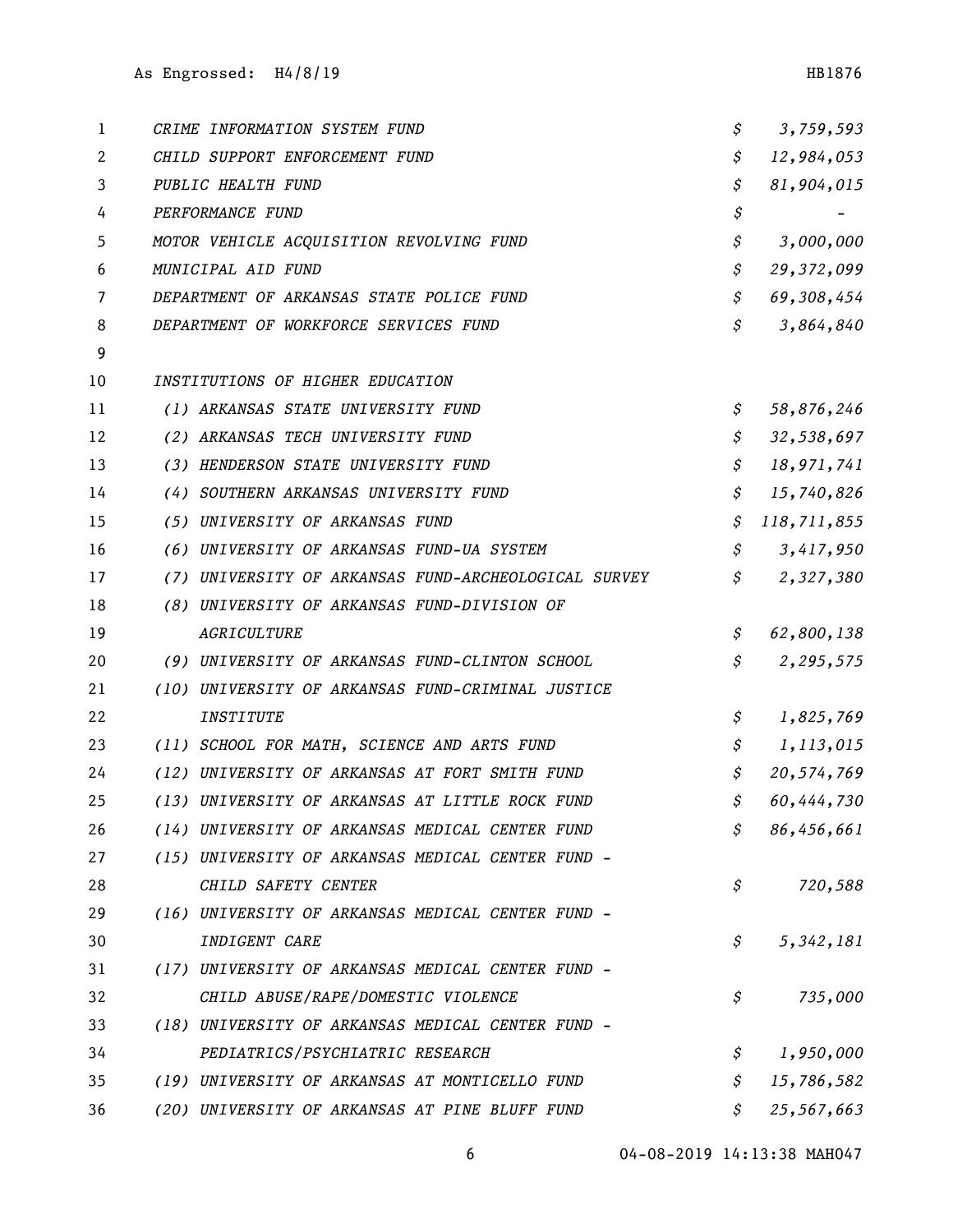| 1  | CRIME INFORMATION SYSTEM FUND                        | \$<br>3,759,593   |
|----|------------------------------------------------------|-------------------|
| 2  | CHILD SUPPORT ENFORCEMENT FUND                       | \$<br>12,984,053  |
| 3  | PUBLIC HEALTH FUND                                   | \$<br>81,904,015  |
| 4  | PERFORMANCE FUND                                     | \$                |
| 5  | MOTOR VEHICLE ACQUISITION REVOLVING FUND             | \$<br>3,000,000   |
| 6  | MUNICIPAL AID FUND                                   | \$<br>29,372,099  |
| 7  | DEPARTMENT OF ARKANSAS STATE POLICE FUND             | \$<br>69,308,454  |
| 8  | DEPARTMENT OF WORKFORCE SERVICES FUND                | \$<br>3,864,840   |
| 9  |                                                      |                   |
| 10 | INSTITUTIONS OF HIGHER EDUCATION                     |                   |
| 11 | (1) ARKANSAS STATE UNIVERSITY FUND                   | \$<br>58,876,246  |
| 12 | (2) ARKANSAS TECH UNIVERSITY FUND                    | \$<br>32,538,697  |
| 13 | (3) HENDERSON STATE UNIVERSITY FUND                  | \$<br>18,971,741  |
| 14 | (4) SOUTHERN ARKANSAS UNIVERSITY FUND                | \$<br>15,740,826  |
| 15 | (5) UNIVERSITY OF ARKANSAS FUND                      | \$<br>118,711,855 |
| 16 | (6) UNIVERSITY OF ARKANSAS FUND-UA SYSTEM            | \$<br>3,417,950   |
| 17 | (7) UNIVERSITY OF ARKANSAS FUND-ARCHEOLOGICAL SURVEY | \$<br>2,327,380   |
| 18 | (8) UNIVERSITY OF ARKANSAS FUND-DIVISION OF          |                   |
| 19 | AGRICULTURE                                          | \$<br>62,800,138  |
| 20 | (9) UNIVERSITY OF ARKANSAS FUND-CLINTON SCHOOL       | \$<br>2,295,575   |
| 21 | (10) UNIVERSITY OF ARKANSAS FUND-CRIMINAL JUSTICE    |                   |
| 22 | <i><b>INSTITUTE</b></i>                              | \$<br>1,825,769   |
| 23 | (11) SCHOOL FOR MATH, SCIENCE AND ARTS FUND          | \$<br>1,113,015   |
| 24 | (12) UNIVERSITY OF ARKANSAS AT FORT SMITH FUND       | \$<br>20,574,769  |
| 25 | (13) UNIVERSITY OF ARKANSAS AT LITTLE ROCK FUND      | \$<br>60,444,730  |
| 26 | (14) UNIVERSITY OF ARKANSAS MEDICAL CENTER FUND      | \$<br>86,456,661  |
| 27 | (15) UNIVERSITY OF ARKANSAS MEDICAL CENTER FUND -    |                   |
| 28 | CHILD SAFETY CENTER                                  | \$<br>720,588     |
| 29 | (16) UNIVERSITY OF ARKANSAS MEDICAL CENTER FUND -    |                   |
| 30 | INDIGENT CARE                                        | \$<br>5, 342, 181 |
| 31 | (17) UNIVERSITY OF ARKANSAS MEDICAL CENTER FUND -    |                   |
| 32 | CHILD ABUSE/RAPE/DOMESTIC VIOLENCE                   | \$<br>735,000     |
| 33 | (18) UNIVERSITY OF ARKANSAS MEDICAL CENTER FUND -    |                   |
| 34 | PEDIATRICS/PSYCHIATRIC RESEARCH                      | \$<br>1,950,000   |
| 35 | (19) UNIVERSITY OF ARKANSAS AT MONTICELLO FUND       | \$<br>15,786,582  |
| 36 | (20) UNIVERSITY OF ARKANSAS AT PINE BLUFF FUND       | \$<br>25,567,663  |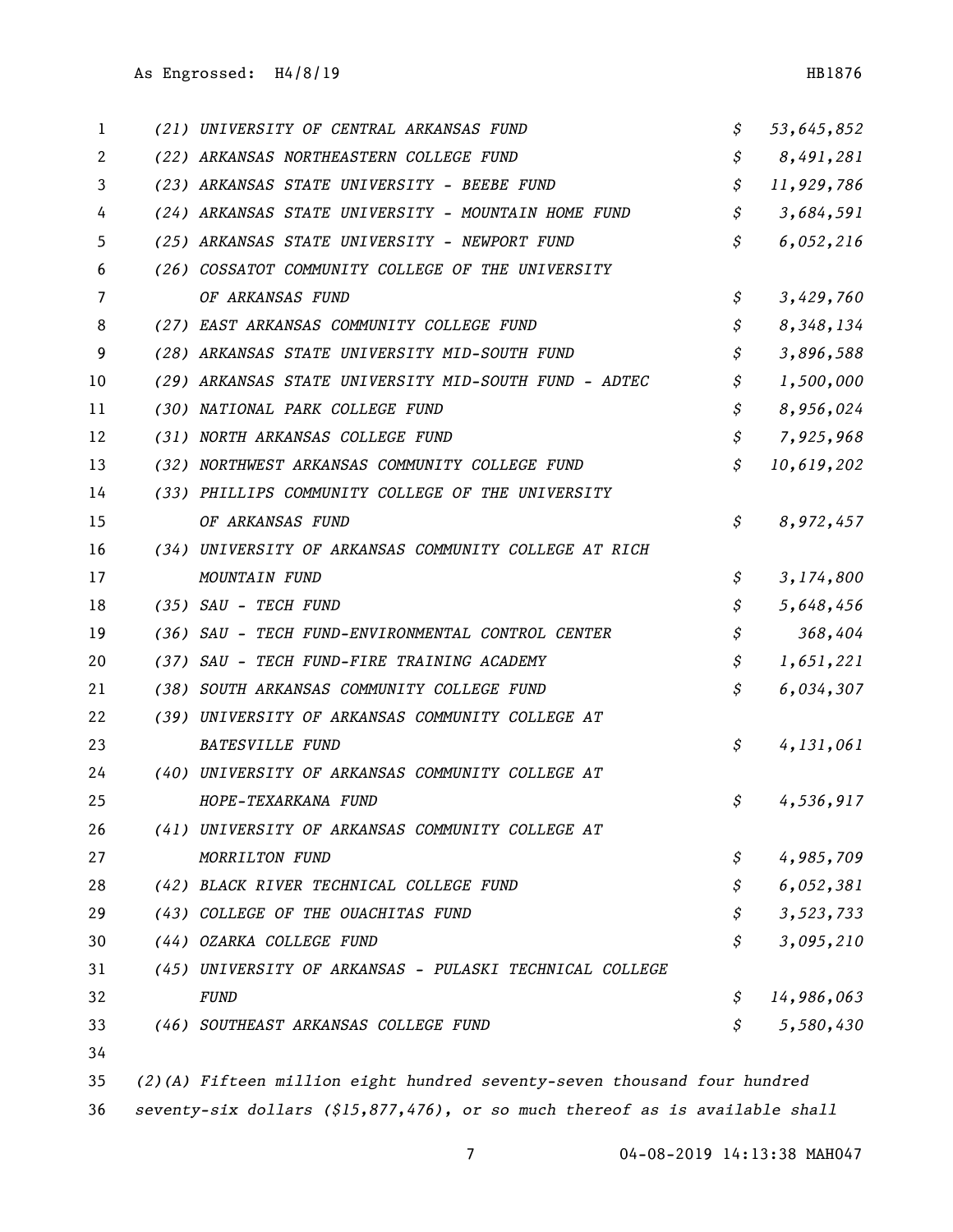| 1  | (21) UNIVERSITY OF CENTRAL ARKANSAS FUND                | \$ | 53,645,852 |
|----|---------------------------------------------------------|----|------------|
| 2  | (22) ARKANSAS NORTHEASTERN COLLEGE FUND                 | \$ | 8,491,281  |
| 3  | (23) ARKANSAS STATE UNIVERSITY - BEEBE FUND             | \$ | 11,929,786 |
| 4  | (24) ARKANSAS STATE UNIVERSITY - MOUNTAIN HOME FUND     | \$ | 3,684,591  |
| 5  | (25) ARKANSAS STATE UNIVERSITY - NEWPORT FUND           | \$ | 6,052,216  |
| 6  | (26) COSSATOT COMMUNITY COLLEGE OF THE UNIVERSITY       |    |            |
| 7  | OF ARKANSAS FUND                                        | \$ | 3,429,760  |
| 8  | (27) EAST ARKANSAS COMMUNITY COLLEGE FUND               | \$ | 8,348,134  |
| 9  | (28) ARKANSAS STATE UNIVERSITY MID-SOUTH FUND           | \$ | 3,896,588  |
| 10 | (29) ARKANSAS STATE UNIVERSITY MID-SOUTH FUND - ADTEC   | \$ | 1,500,000  |
| 11 | (30) NATIONAL PARK COLLEGE FUND                         | \$ | 8,956,024  |
| 12 | (31) NORTH ARKANSAS COLLEGE FUND                        | \$ | 7,925,968  |
| 13 | (32) NORTHWEST ARKANSAS COMMUNITY COLLEGE FUND          | \$ | 10,619,202 |
| 14 | (33) PHILLIPS COMMUNITY COLLEGE OF THE UNIVERSITY       |    |            |
| 15 | OF ARKANSAS FUND                                        | \$ | 8,972,457  |
| 16 | (34) UNIVERSITY OF ARKANSAS COMMUNITY COLLEGE AT RICH   |    |            |
| 17 | MOUNTAIN FUND                                           | \$ | 3,174,800  |
| 18 | (35) SAU - TECH FUND                                    | \$ | 5,648,456  |
| 19 | (36) SAU - TECH FUND-ENVIRONMENTAL CONTROL CENTER       | \$ | 368,404    |
| 20 | (37) SAU - TECH FUND-FIRE TRAINING ACADEMY              | \$ | 1,651,221  |
| 21 | (38) SOUTH ARKANSAS COMMUNITY COLLEGE FUND              | \$ | 6,034,307  |
| 22 | (39) UNIVERSITY OF ARKANSAS COMMUNITY COLLEGE AT        |    |            |
| 23 | <b>BATESVILLE FUND</b>                                  | \$ | 4,131,061  |
| 24 | (40) UNIVERSITY OF ARKANSAS COMMUNITY COLLEGE AT        |    |            |
| 25 | HOPE-TEXARKANA FUND                                     | \$ | 4,536,917  |
| 26 | (41) UNIVERSITY OF ARKANSAS COMMUNITY COLLEGE AT        |    |            |
| 27 | MORRILTON FUND                                          | \$ | 4,985,709  |
| 28 | (42) BLACK RIVER TECHNICAL COLLEGE FUND                 | \$ | 6,052,381  |
| 29 | (43) COLLEGE OF THE OUACHITAS FUND                      | \$ | 3,523,733  |
| 30 | (44) OZARKA COLLEGE FUND                                | \$ | 3,095,210  |
| 31 | (45) UNIVERSITY OF ARKANSAS - PULASKI TECHNICAL COLLEGE |    |            |
| 32 | <b>FUND</b>                                             | S. | 14,986,063 |
| 33 | (46) SOUTHEAST ARKANSAS COLLEGE FUND                    | \$ | 5,580,430  |
| 34 |                                                         |    |            |

 *(2)(A) Fifteen million eight hundred seventy-seven thousand four hundred seventy-six dollars (\$15,877,476), or so much thereof as is available shall*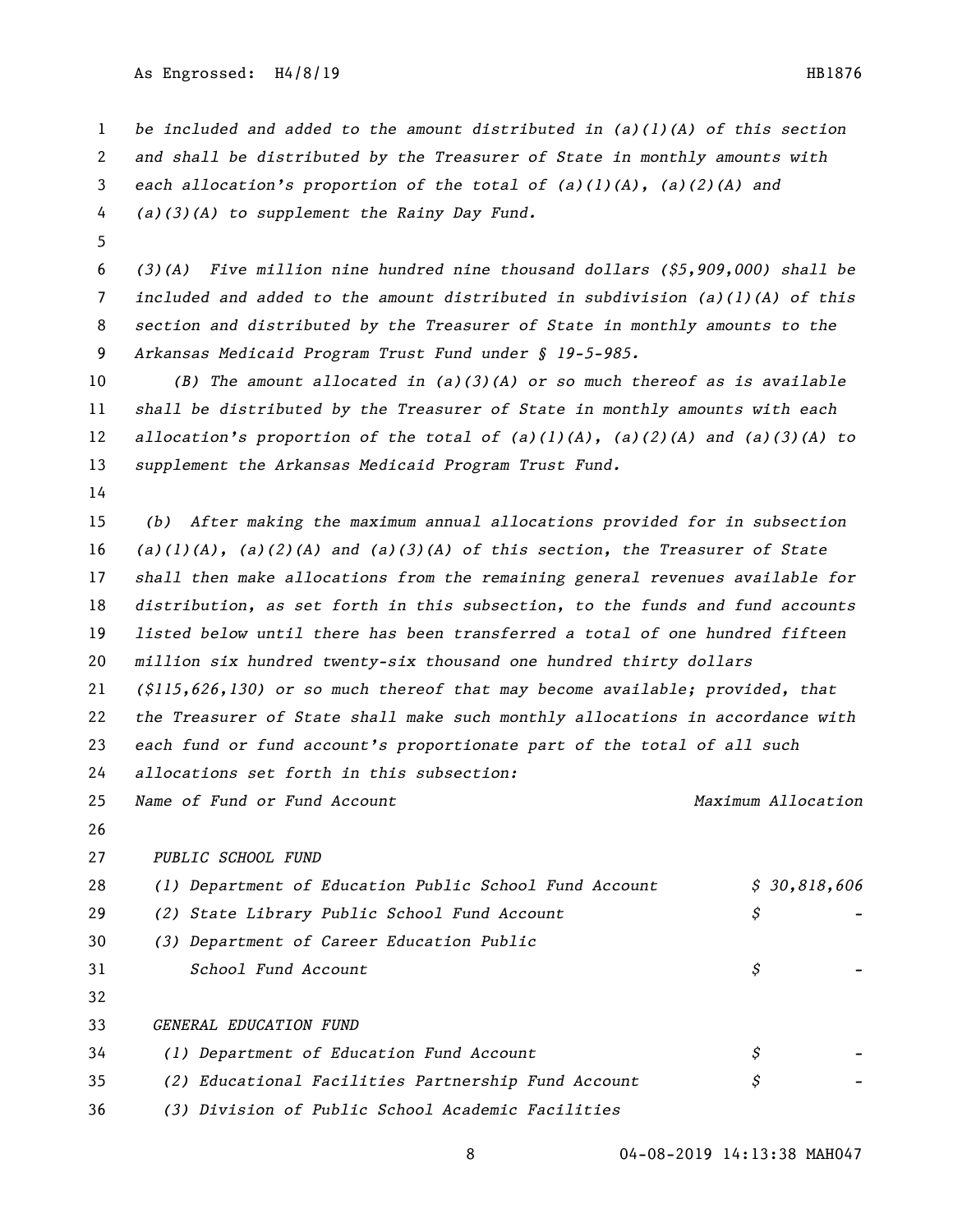As Engrossed: H4/8/19 HB1876

 *be included and added to the amount distributed in (a)(1)(A) of this section and shall be distributed by the Treasurer of State in monthly amounts with each allocation's proportion of the total of (a)(1)(A), (a)(2)(A) and (a)(3)(A) to supplement the Rainy Day Fund.*

 *(3)(A) Five million nine hundred nine thousand dollars (\$5,909,000) shall be included and added to the amount distributed in subdivision (a)(1)(A) of this section and distributed by the Treasurer of State in monthly amounts to the Arkansas Medicaid Program Trust Fund under § 19-5-985.*

 *(B) The amount allocated in (a)(3)(A) or so much thereof as is available shall be distributed by the Treasurer of State in monthly amounts with each allocation's proportion of the total of (a)(1)(A), (a)(2)(A) and (a)(3)(A) to supplement the Arkansas Medicaid Program Trust Fund.*

 *(b) After making the maximum annual allocations provided for in subsection (a)(1)(A), (a)(2)(A) and (a)(3)(A) of this section, the Treasurer of State shall then make allocations from the remaining general revenues available for distribution, as set forth in this subsection, to the funds and fund accounts listed below until there has been transferred a total of one hundred fifteen million six hundred twenty-six thousand one hundred thirty dollars (\$115,626,130) or so much thereof that may become available; provided, that the Treasurer of State shall make such monthly allocations in accordance with each fund or fund account's proportionate part of the total of all such allocations set forth in this subsection:*

*Name of Fund or Fund Account Maximum Allocation*

*PUBLIC SCHOOL FUND* 

| 28 | (1) Department of Education Public School Fund Account | \$30,818,606 |  |
|----|--------------------------------------------------------|--------------|--|
| 29 | (2) State Library Public School Fund Account           | Ş            |  |
| 30 | (3) Department of Career Education Public              |              |  |
| 31 | School Fund Account                                    | S            |  |
| 32 |                                                        |              |  |
| 33 | GENERAL EDUCATION FUND                                 |              |  |
| 34 | (1) Department of Education Fund Account               | Ş            |  |
| 35 | (2) Educational Facilities Partnership Fund Account    | Ş            |  |
| 36 | (3) Division of Public School Academic Facilities      |              |  |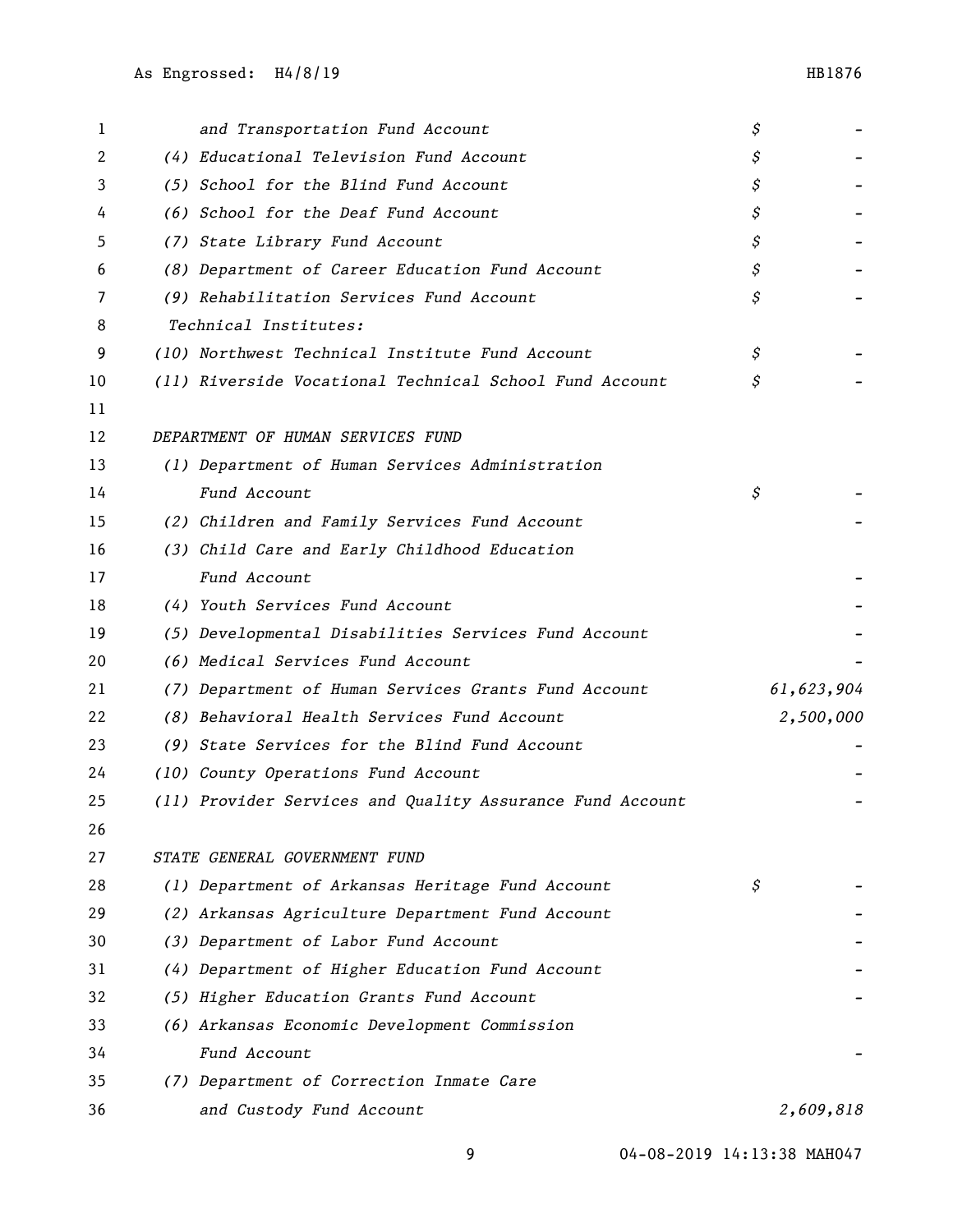| 1  | and Transportation Fund Account                           | \$         |
|----|-----------------------------------------------------------|------------|
| 2  | (4) Educational Television Fund Account                   | \$         |
| 3  | (5) School for the Blind Fund Account                     | \$         |
| 4  | (6) School for the Deaf Fund Account                      | \$         |
| 5  | (7) State Library Fund Account                            | \$         |
| 6  | (8) Department of Career Education Fund Account           | \$         |
| 7  | (9) Rehabilitation Services Fund Account                  | \$         |
| 8  | Technical Institutes:                                     |            |
| 9  | (10) Northwest Technical Institute Fund Account           | \$         |
| 10 | (11) Riverside Vocational Technical School Fund Account   | \$         |
| 11 |                                                           |            |
| 12 | DEPARTMENT OF HUMAN SERVICES FUND                         |            |
| 13 | (1) Department of Human Services Administration           |            |
| 14 | Fund Account                                              | \$         |
| 15 | (2) Children and Family Services Fund Account             |            |
| 16 | (3) Child Care and Early Childhood Education              |            |
| 17 | Fund Account                                              |            |
| 18 | (4) Youth Services Fund Account                           |            |
| 19 | (5) Developmental Disabilities Services Fund Account      |            |
| 20 | (6) Medical Services Fund Account                         |            |
| 21 | (7) Department of Human Services Grants Fund Account      | 61,623,904 |
| 22 | (8) Behavioral Health Services Fund Account               | 2,500,000  |
| 23 | (9) State Services for the Blind Fund Account             |            |
| 24 | (10) County Operations Fund Account                       |            |
| 25 | (11) Provider Services and Quality Assurance Fund Account |            |
| 26 |                                                           |            |
| 27 | STATE GENERAL GOVERNMENT FUND                             |            |
| 28 | (1) Department of Arkansas Heritage Fund Account          | \$         |
| 29 | (2) Arkansas Agriculture Department Fund Account          |            |
| 30 | (3) Department of Labor Fund Account                      |            |
| 31 | (4) Department of Higher Education Fund Account           |            |
| 32 | (5) Higher Education Grants Fund Account                  |            |
| 33 | (6) Arkansas Economic Development Commission              |            |
| 34 | Fund Account                                              |            |
| 35 | (7) Department of Correction Inmate Care                  |            |
| 36 | and Custody Fund Account                                  | 2,609,818  |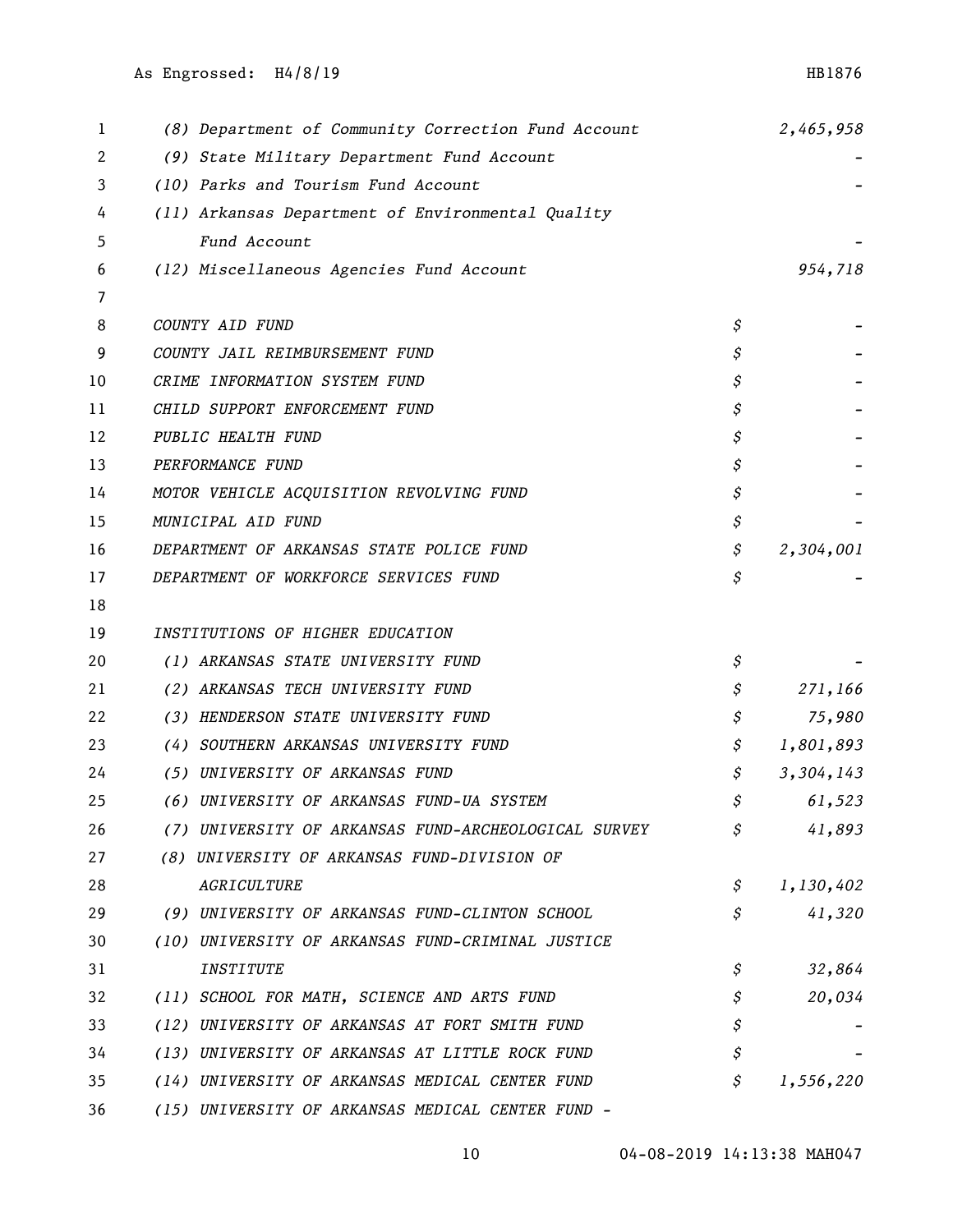| 1  | (8) Department of Community Correction Fund Account  | 2,465,958       |
|----|------------------------------------------------------|-----------------|
| 2  | (9) State Military Department Fund Account           |                 |
| 3  | (10) Parks and Tourism Fund Account                  |                 |
| 4  | (11) Arkansas Department of Environmental Quality    |                 |
| 5  | Fund Account                                         |                 |
| 6  | (12) Miscellaneous Agencies Fund Account             | 954,718         |
| 7  |                                                      |                 |
| 8  | COUNTY AID FUND                                      | \$              |
| 9  | COUNTY JAIL REIMBURSEMENT FUND                       | \$              |
| 10 | CRIME INFORMATION SYSTEM FUND                        | \$              |
| 11 | CHILD SUPPORT ENFORCEMENT FUND                       | \$              |
| 12 | PUBLIC HEALTH FUND                                   | \$              |
| 13 | PERFORMANCE FUND                                     | \$              |
| 14 | MOTOR VEHICLE ACQUISITION REVOLVING FUND             | \$              |
| 15 | MUNICIPAL AID FUND                                   | \$              |
| 16 | DEPARTMENT OF ARKANSAS STATE POLICE FUND             | \$<br>2,304,001 |
| 17 | DEPARTMENT OF WORKFORCE SERVICES FUND                | \$              |
| 18 |                                                      |                 |
| 19 | INSTITUTIONS OF HIGHER EDUCATION                     |                 |
| 20 | (1) ARKANSAS STATE UNIVERSITY FUND                   | \$              |
| 21 | (2) ARKANSAS TECH UNIVERSITY FUND                    | \$<br>271,166   |
| 22 | (3) HENDERSON STATE UNIVERSITY FUND                  | \$<br>75,980    |
| 23 | (4) SOUTHERN ARKANSAS UNIVERSITY FUND                | \$<br>1,801,893 |
| 24 | (5) UNIVERSITY OF ARKANSAS FUND                      | \$<br>3,304,143 |
| 25 | (6) UNIVERSITY OF ARKANSAS FUND-UA SYSTEM            | \$<br>61,523    |
| 26 | (7) UNIVERSITY OF ARKANSAS FUND-ARCHEOLOGICAL SURVEY | \$<br>41,893    |
| 27 | (8) UNIVERSITY OF ARKANSAS FUND-DIVISION OF          |                 |
| 28 | AGRICULTURE                                          | \$<br>1,130,402 |
| 29 | (9) UNIVERSITY OF ARKANSAS FUND-CLINTON SCHOOL       | \$<br>41,320    |
| 30 | (10) UNIVERSITY OF ARKANSAS FUND-CRIMINAL JUSTICE    |                 |
| 31 | <i><b>INSTITUTE</b></i>                              | \$<br>32,864    |
| 32 | (11) SCHOOL FOR MATH, SCIENCE AND ARTS FUND          | \$<br>20,034    |
| 33 | (12) UNIVERSITY OF ARKANSAS AT FORT SMITH FUND       | \$              |
| 34 | (13) UNIVERSITY OF ARKANSAS AT LITTLE ROCK FUND      | \$              |
| 35 | (14) UNIVERSITY OF ARKANSAS MEDICAL CENTER FUND      | \$<br>1,556,220 |
| 36 | (15) UNIVERSITY OF ARKANSAS MEDICAL CENTER FUND -    |                 |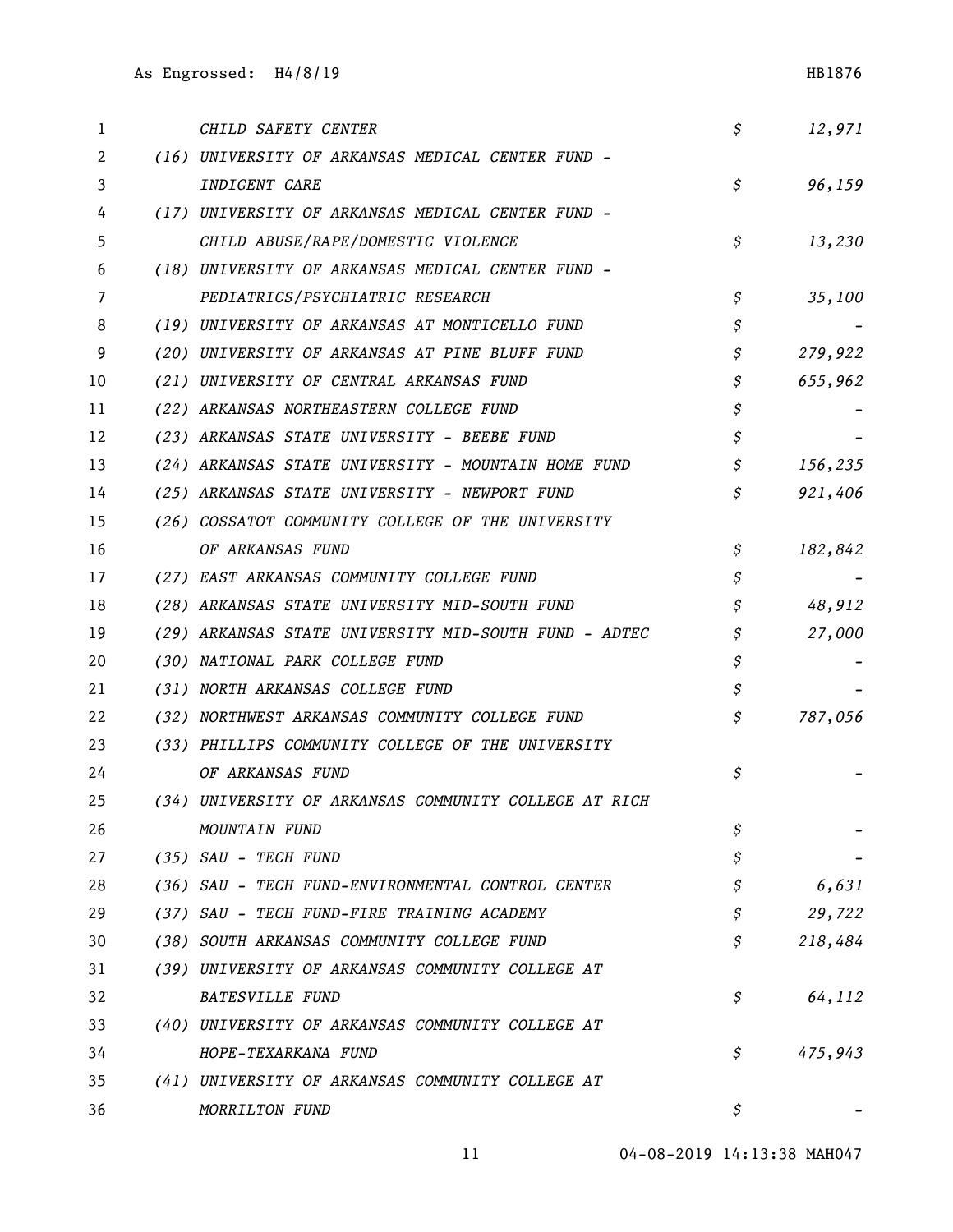| 1  | CHILD SAFETY CENTER                                   | \$ | 12,971  |
|----|-------------------------------------------------------|----|---------|
| 2  | (16) UNIVERSITY OF ARKANSAS MEDICAL CENTER FUND -     |    |         |
| 3  | INDIGENT CARE                                         | \$ | 96,159  |
| 4  | (17) UNIVERSITY OF ARKANSAS MEDICAL CENTER FUND -     |    |         |
| 5  | CHILD ABUSE/RAPE/DOMESTIC VIOLENCE                    | \$ | 13,230  |
| 6  | (18) UNIVERSITY OF ARKANSAS MEDICAL CENTER FUND -     |    |         |
| 7  | PEDIATRICS/PSYCHIATRIC RESEARCH                       | \$ | 35,100  |
| 8  | (19) UNIVERSITY OF ARKANSAS AT MONTICELLO FUND        | \$ |         |
| 9  | (20) UNIVERSITY OF ARKANSAS AT PINE BLUFF FUND        | \$ | 279,922 |
| 10 | (21) UNIVERSITY OF CENTRAL ARKANSAS FUND              | \$ | 655,962 |
| 11 | (22) ARKANSAS NORTHEASTERN COLLEGE FUND               | \$ |         |
| 12 | (23) ARKANSAS STATE UNIVERSITY - BEEBE FUND           | \$ |         |
| 13 | (24) ARKANSAS STATE UNIVERSITY - MOUNTAIN HOME FUND   | \$ | 156,235 |
| 14 | (25) ARKANSAS STATE UNIVERSITY - NEWPORT FUND         | \$ | 921,406 |
| 15 | (26) COSSATOT COMMUNITY COLLEGE OF THE UNIVERSITY     |    |         |
| 16 | OF ARKANSAS FUND                                      | \$ | 182,842 |
| 17 | (27) EAST ARKANSAS COMMUNITY COLLEGE FUND             | \$ |         |
| 18 | (28) ARKANSAS STATE UNIVERSITY MID-SOUTH FUND         | \$ | 48,912  |
| 19 | (29) ARKANSAS STATE UNIVERSITY MID-SOUTH FUND - ADTEC | \$ | 27,000  |
| 20 | (30) NATIONAL PARK COLLEGE FUND                       | \$ |         |
| 21 | (31) NORTH ARKANSAS COLLEGE FUND                      | \$ |         |
| 22 | (32) NORTHWEST ARKANSAS COMMUNITY COLLEGE FUND        | \$ | 787,056 |
| 23 | (33) PHILLIPS COMMUNITY COLLEGE OF THE UNIVERSITY     |    |         |
| 24 | OF ARKANSAS FUND                                      | Ş  |         |
| 25 | (34) UNIVERSITY OF ARKANSAS COMMUNITY COLLEGE AT RICH |    |         |
| 26 | MOUNTAIN FUND                                         | \$ |         |
| 27 | (35) SAU - TECH FUND                                  | \$ |         |
| 28 | (36) SAU - TECH FUND-ENVIRONMENTAL CONTROL CENTER     | Ş  | 6,631   |
| 29 | (37) SAU - TECH FUND-FIRE TRAINING ACADEMY            | \$ | 29,722  |
| 30 | (38) SOUTH ARKANSAS COMMUNITY COLLEGE FUND            | \$ | 218,484 |
| 31 | (39) UNIVERSITY OF ARKANSAS COMMUNITY COLLEGE AT      |    |         |
| 32 | <b>BATESVILLE FUND</b>                                | Ş  | 64,112  |
| 33 | (40) UNIVERSITY OF ARKANSAS COMMUNITY COLLEGE AT      |    |         |
| 34 | HOPE-TEXARKANA FUND                                   | S  | 475,943 |
| 35 | (41) UNIVERSITY OF ARKANSAS COMMUNITY COLLEGE AT      |    |         |
| 36 | MORRILTON FUND                                        | Ş  |         |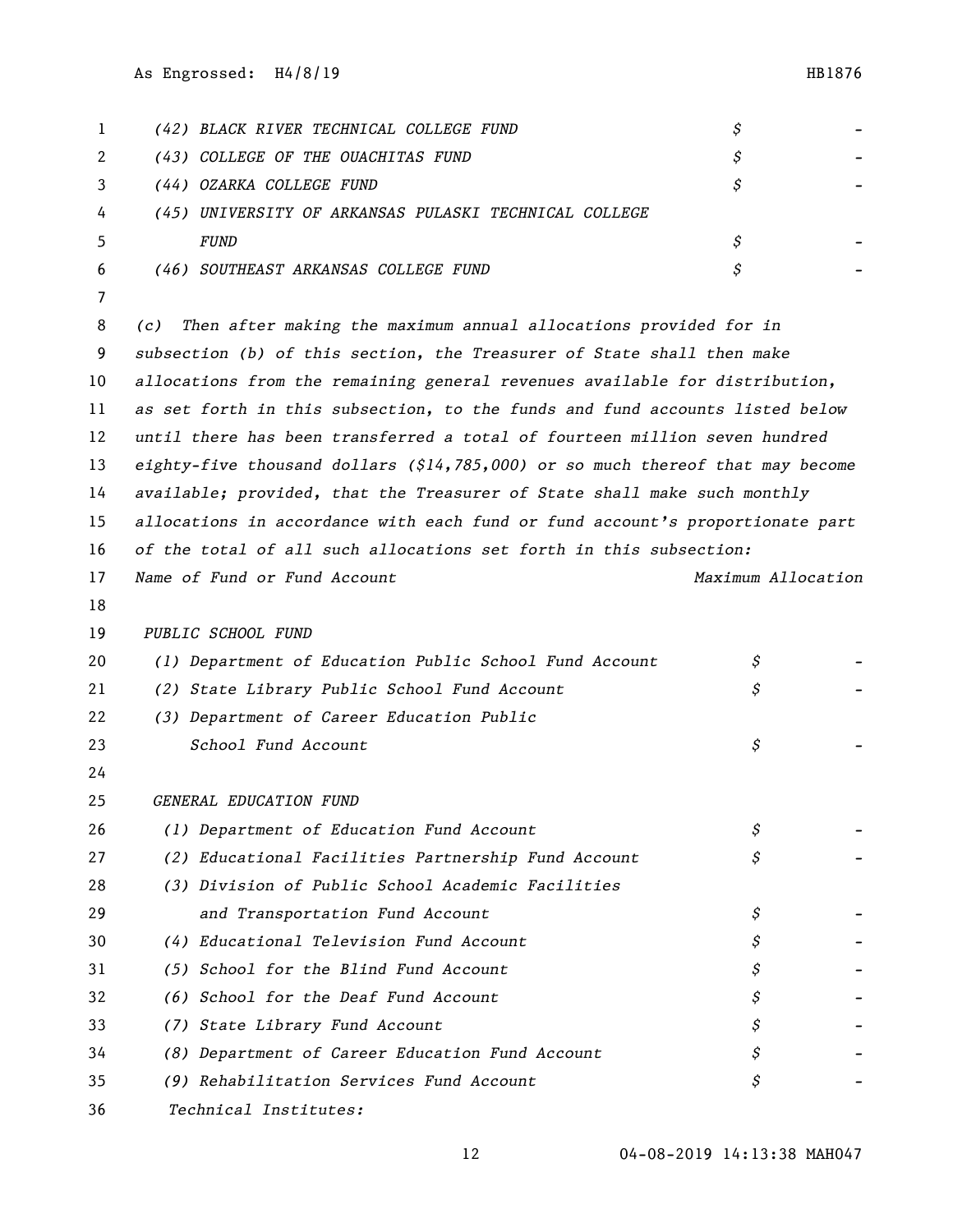| 1  | (42) BLACK RIVER TECHNICAL COLLEGE FUND                                           | \$                 |  |
|----|-----------------------------------------------------------------------------------|--------------------|--|
| 2  | (43) COLLEGE OF THE OUACHITAS FUND                                                | \$                 |  |
| 3  | (44) OZARKA COLLEGE FUND                                                          | \$                 |  |
| 4  | (45) UNIVERSITY OF ARKANSAS PULASKI TECHNICAL COLLEGE                             |                    |  |
| 5  | <b>FUND</b>                                                                       | \$                 |  |
| 6  | (46) SOUTHEAST ARKANSAS COLLEGE FUND                                              | \$                 |  |
| 7  |                                                                                   |                    |  |
| 8  | Then after making the maximum annual allocations provided for in<br>(c)           |                    |  |
| 9  | subsection (b) of this section, the Treasurer of State shall then make            |                    |  |
| 10 | allocations from the remaining general revenues available for distribution,       |                    |  |
| 11 | as set forth in this subsection, to the funds and fund accounts listed below      |                    |  |
| 12 | until there has been transferred a total of fourteen million seven hundred        |                    |  |
| 13 | eighty-five thousand dollars $(514, 785, 000)$ or so much thereof that may become |                    |  |
| 14 | available; provided, that the Treasurer of State shall make such monthly          |                    |  |
| 15 | allocations in accordance with each fund or fund account's proportionate part     |                    |  |
| 16 | of the total of all such allocations set forth in this subsection:                |                    |  |
| 17 | Name of Fund or Fund Account                                                      | Maximum Allocation |  |
| 18 |                                                                                   |                    |  |
| 19 | PUBLIC SCHOOL FUND                                                                |                    |  |
| 20 | (1) Department of Education Public School Fund Account                            | \$                 |  |
| 21 | (2) State Library Public School Fund Account                                      | \$                 |  |
| 22 | (3) Department of Career Education Public                                         |                    |  |
| 23 | School Fund Account                                                               | \$                 |  |
| 24 |                                                                                   |                    |  |
| 25 | GENERAL EDUCATION FUND                                                            |                    |  |
| 26 | (1) Department of Education Fund Account                                          | \$                 |  |
| 27 | (2) Educational Facilities Partnership Fund Account                               | \$                 |  |
| 28 | (3) Division of Public School Academic Facilities                                 |                    |  |
| 29 | and Transportation Fund Account                                                   | \$                 |  |
| 30 | (4) Educational Television Fund Account                                           | \$                 |  |
| 31 | (5) School for the Blind Fund Account                                             | \$                 |  |
| 32 | (6) School for the Deaf Fund Account                                              | \$                 |  |
| 33 | (7) State Library Fund Account                                                    | \$                 |  |
| 34 | (8) Department of Career Education Fund Account                                   | \$                 |  |
| 35 | (9) Rehabilitation Services Fund Account                                          | \$                 |  |
|    |                                                                                   |                    |  |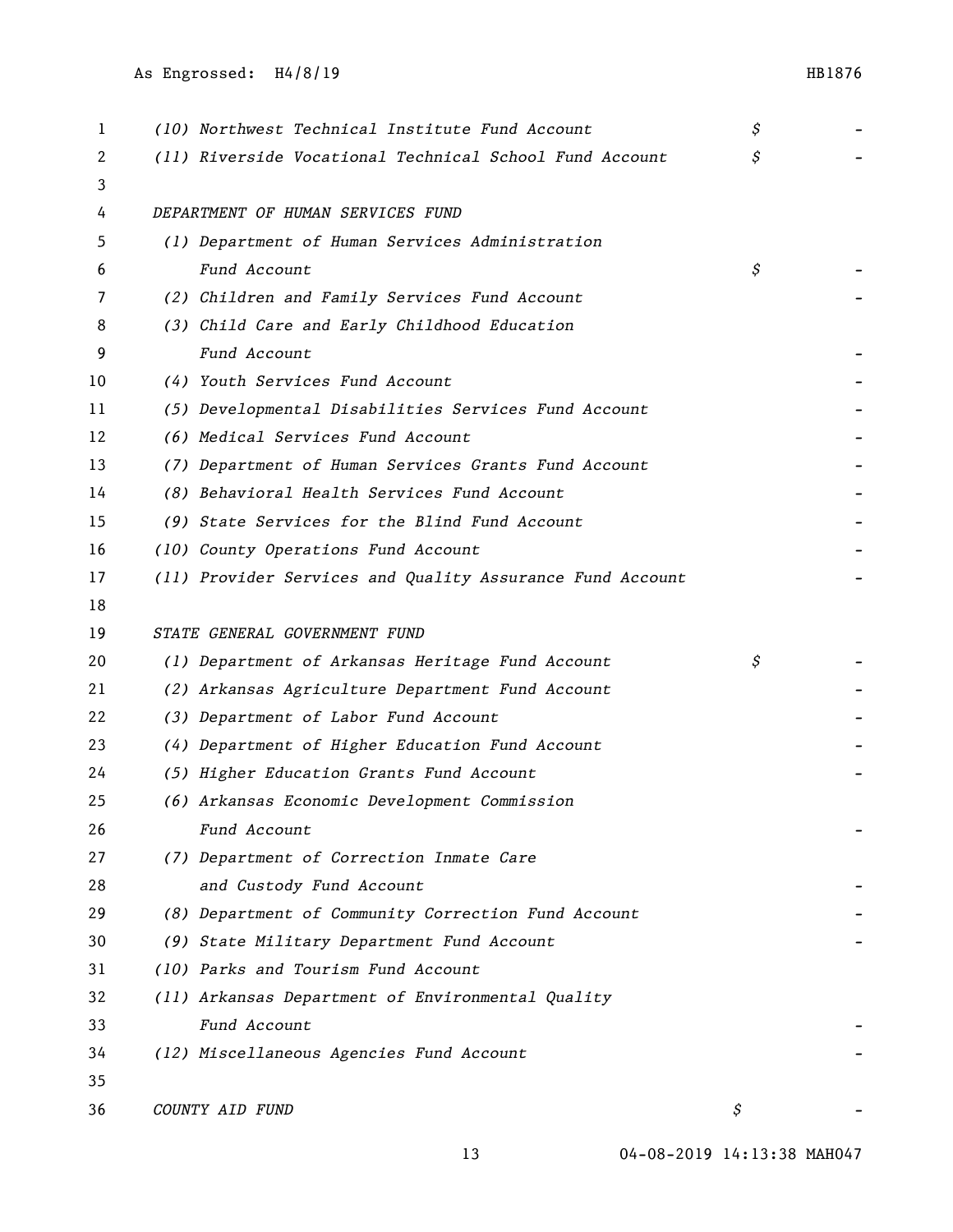| 1  | (10) Northwest Technical Institute Fund Account           | \$ |  |
|----|-----------------------------------------------------------|----|--|
| 2  | (11) Riverside Vocational Technical School Fund Account   | \$ |  |
| 3  |                                                           |    |  |
| 4  | DEPARTMENT OF HUMAN SERVICES FUND                         |    |  |
| 5  | (1) Department of Human Services Administration           |    |  |
| 6  | Fund Account                                              | \$ |  |
| 7  | (2) Children and Family Services Fund Account             |    |  |
| 8  | (3) Child Care and Early Childhood Education              |    |  |
| 9  | Fund Account                                              |    |  |
| 10 | (4) Youth Services Fund Account                           |    |  |
| 11 | (5) Developmental Disabilities Services Fund Account      |    |  |
| 12 | (6) Medical Services Fund Account                         |    |  |
| 13 | (7) Department of Human Services Grants Fund Account      |    |  |
| 14 | (8) Behavioral Health Services Fund Account               |    |  |
| 15 | (9) State Services for the Blind Fund Account             |    |  |
| 16 | (10) County Operations Fund Account                       |    |  |
| 17 | (11) Provider Services and Quality Assurance Fund Account |    |  |
| 18 |                                                           |    |  |
| 19 | STATE GENERAL GOVERNMENT FUND                             |    |  |
| 20 | (1) Department of Arkansas Heritage Fund Account          | \$ |  |
| 21 | (2) Arkansas Agriculture Department Fund Account          |    |  |
| 22 | (3) Department of Labor Fund Account                      |    |  |
| 23 | (4) Department of Higher Education Fund Account           |    |  |
| 24 | (5) Higher Education Grants Fund Account                  |    |  |
| 25 | (6) Arkansas Economic Development Commission              |    |  |
| 26 | Fund Account                                              |    |  |
| 27 | (7) Department of Correction Inmate Care                  |    |  |
| 28 | and Custody Fund Account                                  |    |  |
| 29 | (8) Department of Community Correction Fund Account       |    |  |
| 30 | (9) State Military Department Fund Account                |    |  |
| 31 | (10) Parks and Tourism Fund Account                       |    |  |
| 32 | (11) Arkansas Department of Environmental Quality         |    |  |
| 33 | Fund Account                                              |    |  |
| 34 | (12) Miscellaneous Agencies Fund Account                  |    |  |
| 35 |                                                           |    |  |
| 36 | COUNTY AID FUND                                           | S  |  |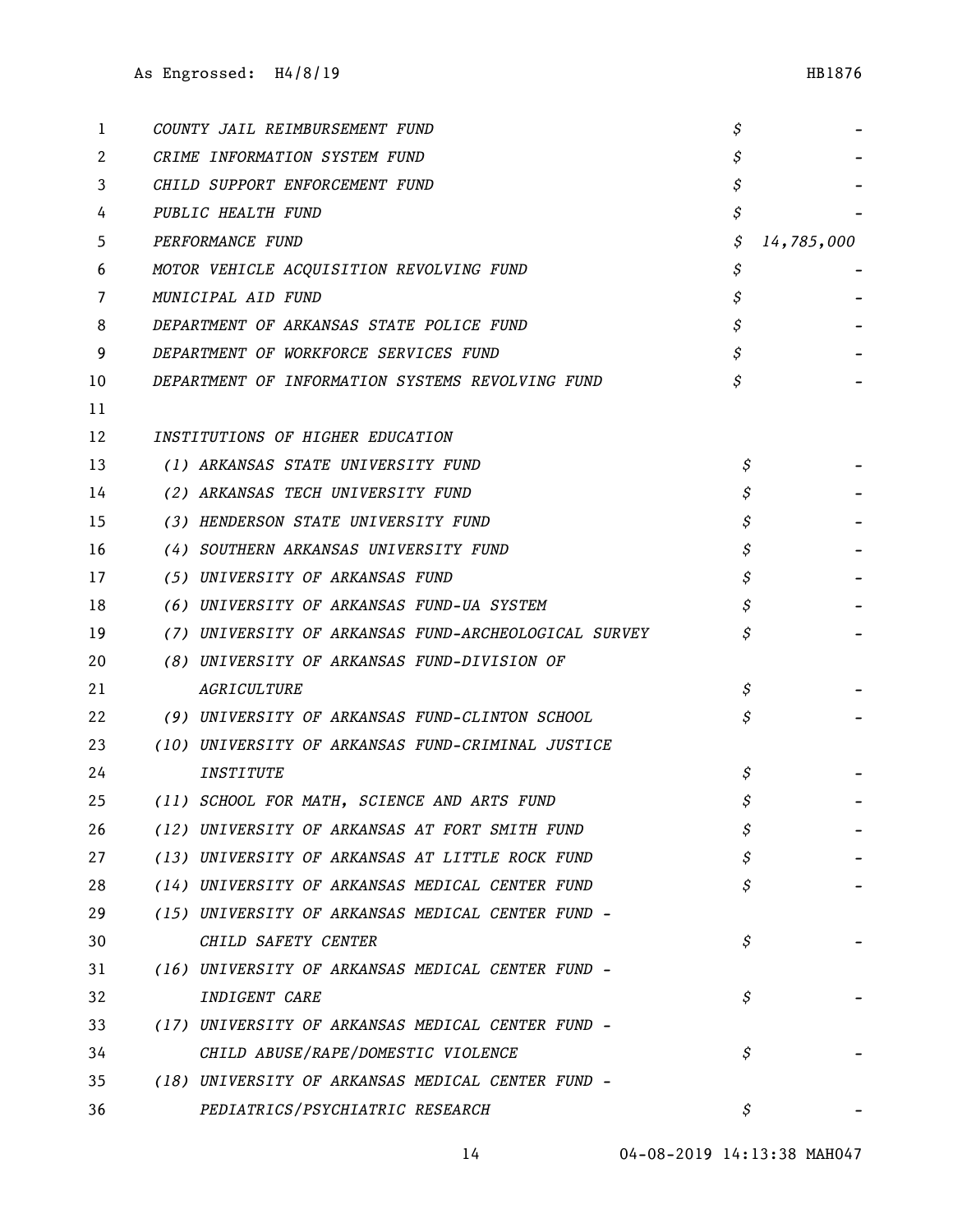| 1  | COUNTY JAIL REIMBURSEMENT FUND                       | \$ |            |
|----|------------------------------------------------------|----|------------|
| 2  | CRIME INFORMATION SYSTEM FUND                        | \$ |            |
| 3  | CHILD SUPPORT ENFORCEMENT FUND                       | \$ |            |
| 4  | PUBLIC HEALTH FUND                                   | \$ |            |
| 5  | PERFORMANCE FUND                                     | \$ | 14,785,000 |
| 6  | MOTOR VEHICLE ACQUISITION REVOLVING FUND             | \$ |            |
| 7  | MUNICIPAL AID FUND                                   | \$ |            |
| 8  | DEPARTMENT OF ARKANSAS STATE POLICE FUND             | \$ |            |
| 9  | DEPARTMENT OF WORKFORCE SERVICES FUND                | \$ |            |
| 10 | DEPARTMENT OF INFORMATION SYSTEMS REVOLVING FUND     | \$ |            |
| 11 |                                                      |    |            |
| 12 | INSTITUTIONS OF HIGHER EDUCATION                     |    |            |
| 13 | (1) ARKANSAS STATE UNIVERSITY FUND                   | \$ |            |
| 14 | (2) ARKANSAS TECH UNIVERSITY FUND                    | \$ |            |
| 15 | (3) HENDERSON STATE UNIVERSITY FUND                  | \$ |            |
| 16 | (4) SOUTHERN ARKANSAS UNIVERSITY FUND                | \$ |            |
| 17 | (5) UNIVERSITY OF ARKANSAS FUND                      | \$ |            |
| 18 | (6) UNIVERSITY OF ARKANSAS FUND-UA SYSTEM            | \$ |            |
| 19 | (7) UNIVERSITY OF ARKANSAS FUND-ARCHEOLOGICAL SURVEY |    |            |
| 20 | (8) UNIVERSITY OF ARKANSAS FUND-DIVISION OF          |    |            |
| 21 | AGRICULTURE                                          | \$ |            |
| 22 | (9) UNIVERSITY OF ARKANSAS FUND-CLINTON SCHOOL       | S  |            |
| 23 | (10) UNIVERSITY OF ARKANSAS FUND-CRIMINAL JUSTICE    |    |            |
| 24 | INSTITUTE                                            | \$ |            |
| 25 | (11) SCHOOL FOR MATH, SCIENCE AND ARTS FUND          | \$ |            |
| 26 | (12) UNIVERSITY OF ARKANSAS AT FORT SMITH FUND       | \$ |            |
| 27 | (13) UNIVERSITY OF ARKANSAS AT LITTLE ROCK FUND      | \$ |            |
| 28 | (14) UNIVERSITY OF ARKANSAS MEDICAL CENTER FUND      | Ŝ  |            |
| 29 | (15) UNIVERSITY OF ARKANSAS MEDICAL CENTER FUND -    |    |            |
| 30 | CHILD SAFETY CENTER                                  | \$ |            |
| 31 | (16) UNIVERSITY OF ARKANSAS MEDICAL CENTER FUND -    |    |            |
| 32 | INDIGENT CARE                                        | \$ |            |
| 33 | (17) UNIVERSITY OF ARKANSAS MEDICAL CENTER FUND -    |    |            |
| 34 | CHILD ABUSE/RAPE/DOMESTIC VIOLENCE                   | \$ |            |
| 35 | (18) UNIVERSITY OF ARKANSAS MEDICAL CENTER FUND -    |    |            |
| 36 | PEDIATRICS/PSYCHIATRIC RESEARCH                      | S  |            |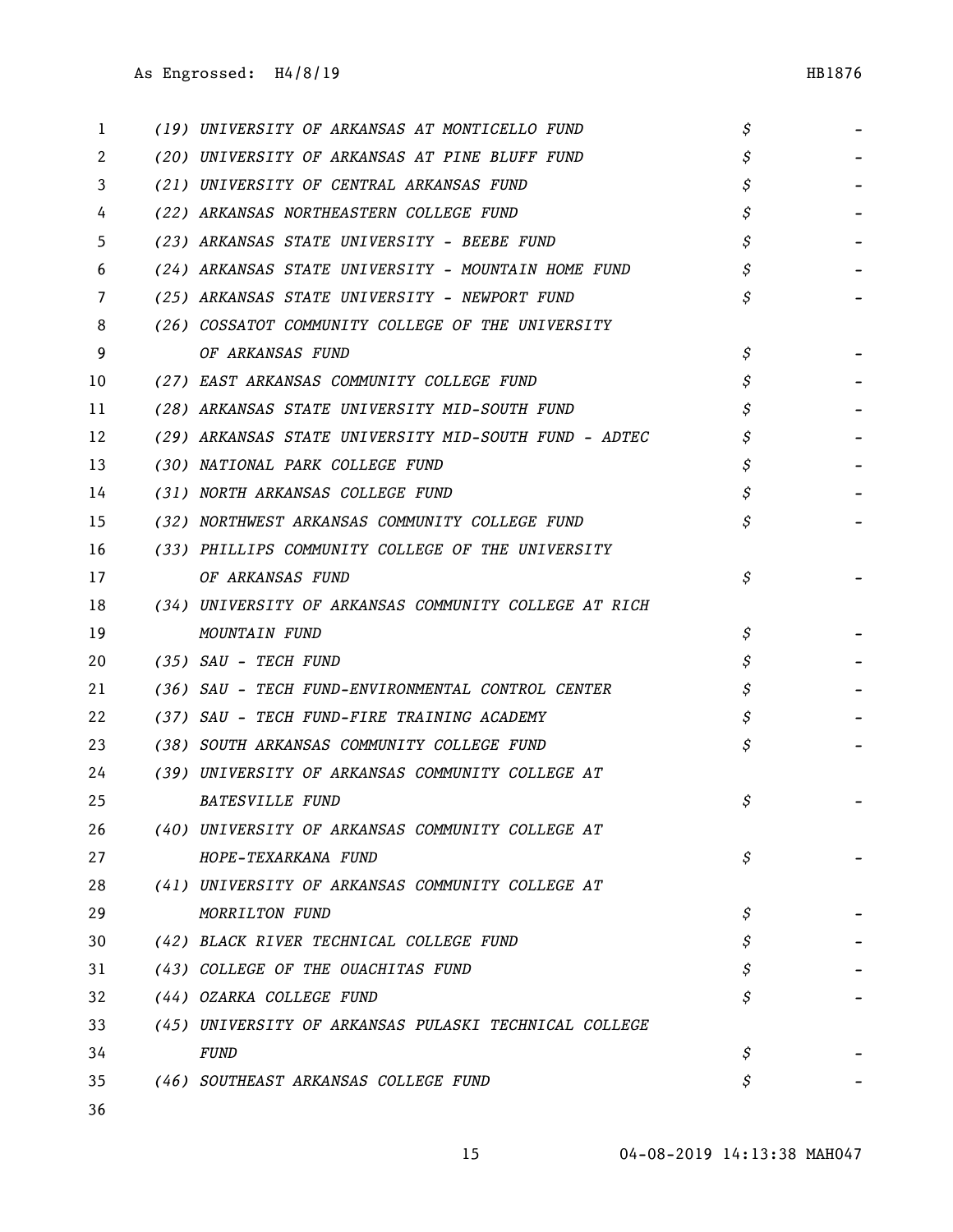| 1  | (19) UNIVERSITY OF ARKANSAS AT MONTICELLO FUND        | \$ |  |
|----|-------------------------------------------------------|----|--|
| 2  | (20) UNIVERSITY OF ARKANSAS AT PINE BLUFF FUND        | \$ |  |
| 3  | (21) UNIVERSITY OF CENTRAL ARKANSAS FUND              | \$ |  |
| 4  | (22) ARKANSAS NORTHEASTERN COLLEGE FUND               | \$ |  |
| 5  | (23) ARKANSAS STATE UNIVERSITY - BEEBE FUND           | \$ |  |
| 6  | (24) ARKANSAS STATE UNIVERSITY - MOUNTAIN HOME FUND   | \$ |  |
| 7  | (25) ARKANSAS STATE UNIVERSITY - NEWPORT FUND         | \$ |  |
| 8  | (26) COSSATOT COMMUNITY COLLEGE OF THE UNIVERSITY     |    |  |
| 9  | OF ARKANSAS FUND                                      | \$ |  |
| 10 | (27) EAST ARKANSAS COMMUNITY COLLEGE FUND             | \$ |  |
| 11 | (28) ARKANSAS STATE UNIVERSITY MID-SOUTH FUND         |    |  |
| 12 | (29) ARKANSAS STATE UNIVERSITY MID-SOUTH FUND - ADTEC |    |  |
| 13 | (30) NATIONAL PARK COLLEGE FUND                       |    |  |
| 14 | (31) NORTH ARKANSAS COLLEGE FUND                      |    |  |
| 15 | (32) NORTHWEST ARKANSAS COMMUNITY COLLEGE FUND        |    |  |
| 16 | (33) PHILLIPS COMMUNITY COLLEGE OF THE UNIVERSITY     |    |  |
| 17 | OF ARKANSAS FUND                                      | \$ |  |
| 18 | (34) UNIVERSITY OF ARKANSAS COMMUNITY COLLEGE AT RICH |    |  |
| 19 | MOUNTAIN FUND                                         | \$ |  |
| 20 | (35) SAU - TECH FUND                                  |    |  |
| 21 | (36) SAU - TECH FUND-ENVIRONMENTAL CONTROL CENTER     |    |  |
| 22 | (37) SAU - TECH FUND-FIRE TRAINING ACADEMY            |    |  |
| 23 | (38) SOUTH ARKANSAS COMMUNITY COLLEGE FUND            |    |  |
| 24 | (39) UNIVERSITY OF ARKANSAS COMMUNITY COLLEGE AT      |    |  |
| 25 | <b>BATESVILLE FUND</b>                                | Ŝ  |  |
| 26 | (40) UNIVERSITY OF ARKANSAS COMMUNITY COLLEGE AT      |    |  |
| 27 | HOPE-TEXARKANA FUND                                   | \$ |  |
| 28 | (41) UNIVERSITY OF ARKANSAS COMMUNITY COLLEGE AT      |    |  |
| 29 | MORRILTON FUND                                        | \$ |  |
| 30 | (42) BLACK RIVER TECHNICAL COLLEGE FUND               | \$ |  |
| 31 | (43) COLLEGE OF THE OUACHITAS FUND                    | \$ |  |
| 32 | (44) OZARKA COLLEGE FUND                              | \$ |  |
| 33 | (45) UNIVERSITY OF ARKANSAS PULASKI TECHNICAL COLLEGE |    |  |
| 34 | <b>FUND</b>                                           | \$ |  |
| 35 | (46) SOUTHEAST ARKANSAS COLLEGE FUND                  | \$ |  |
|    |                                                       |    |  |